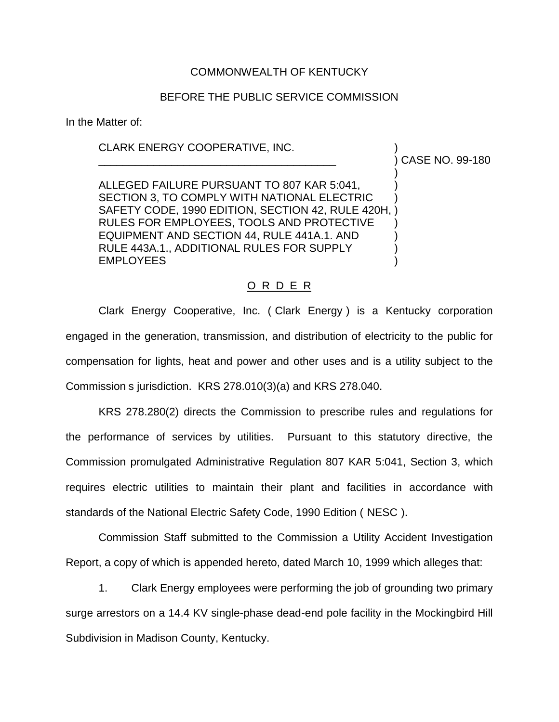## COMMONWEALTH OF KENTUCKY

## BEFORE THE PUBLIC SERVICE COMMISSION

In the Matter of:

## CLARK ENERGY COOPERATIVE, INC. )

\_\_\_\_\_\_\_\_\_\_\_\_\_\_\_\_\_\_\_\_\_\_\_\_\_\_\_\_\_\_\_\_\_\_\_\_\_\_\_ ) CASE NO. 99-180

) ALLEGED FAILURE PURSUANT TO 807 KAR 5:041, SECTION 3, TO COMPLY WITH NATIONAL ELECTRIC SAFETY CODE, 1990 EDITION, SECTION 42, RULE 420H, ) RULES FOR EMPLOYEES, TOOLS AND PROTECTIVE EQUIPMENT AND SECTION 44, RULE 441A.1. AND ) RULE 443A.1., ADDITIONAL RULES FOR SUPPLY **EMPLOYEES** 

## O R D E R

Clark Energy Cooperative, Inc. ( Clark Energy ) is a Kentucky corporation engaged in the generation, transmission, and distribution of electricity to the public for compensation for lights, heat and power and other uses and is a utility subject to the Commission s jurisdiction. KRS 278.010(3)(a) and KRS 278.040.

KRS 278.280(2) directs the Commission to prescribe rules and regulations for the performance of services by utilities. Pursuant to this statutory directive, the Commission promulgated Administrative Regulation 807 KAR 5:041, Section 3, which requires electric utilities to maintain their plant and facilities in accordance with standards of the National Electric Safety Code, 1990 Edition ( NESC ).

Commission Staff submitted to the Commission a Utility Accident Investigation Report, a copy of which is appended hereto, dated March 10, 1999 which alleges that:

1. Clark Energy employees were performing the job of grounding two primary surge arrestors on a 14.4 KV single-phase dead-end pole facility in the Mockingbird Hill Subdivision in Madison County, Kentucky.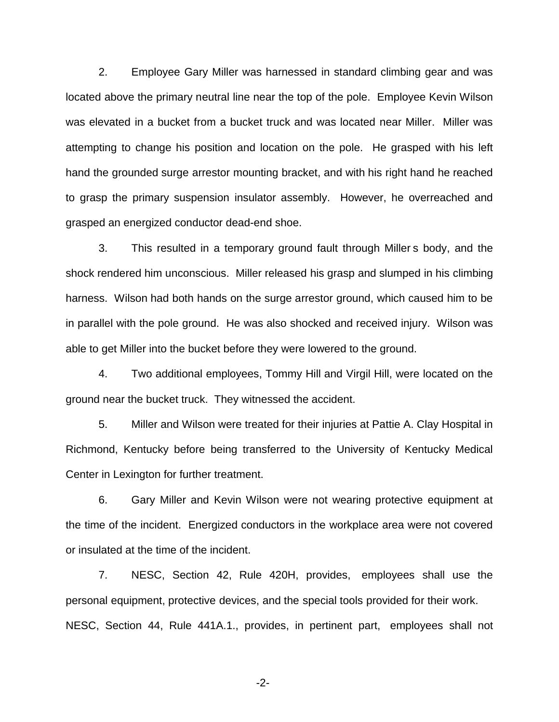2. Employee Gary Miller was harnessed in standard climbing gear and was located above the primary neutral line near the top of the pole. Employee Kevin Wilson was elevated in a bucket from a bucket truck and was located near Miller. Miller was attempting to change his position and location on the pole. He grasped with his left hand the grounded surge arrestor mounting bracket, and with his right hand he reached to grasp the primary suspension insulator assembly. However, he overreached and grasped an energized conductor dead-end shoe.

3. This resulted in a temporary ground fault through Miller s body, and the shock rendered him unconscious. Miller released his grasp and slumped in his climbing harness. Wilson had both hands on the surge arrestor ground, which caused him to be in parallel with the pole ground. He was also shocked and received injury. Wilson was able to get Miller into the bucket before they were lowered to the ground.

4. Two additional employees, Tommy Hill and Virgil Hill, were located on the ground near the bucket truck. They witnessed the accident.

5. Miller and Wilson were treated for their injuries at Pattie A. Clay Hospital in Richmond, Kentucky before being transferred to the University of Kentucky Medical Center in Lexington for further treatment.

6. Gary Miller and Kevin Wilson were not wearing protective equipment at the time of the incident. Energized conductors in the workplace area were not covered or insulated at the time of the incident.

7. NESC, Section 42, Rule 420H, provides, employees shall use the personal equipment, protective devices, and the special tools provided for their work. NESC, Section 44, Rule 441A.1., provides, in pertinent part, employees shall not

-2-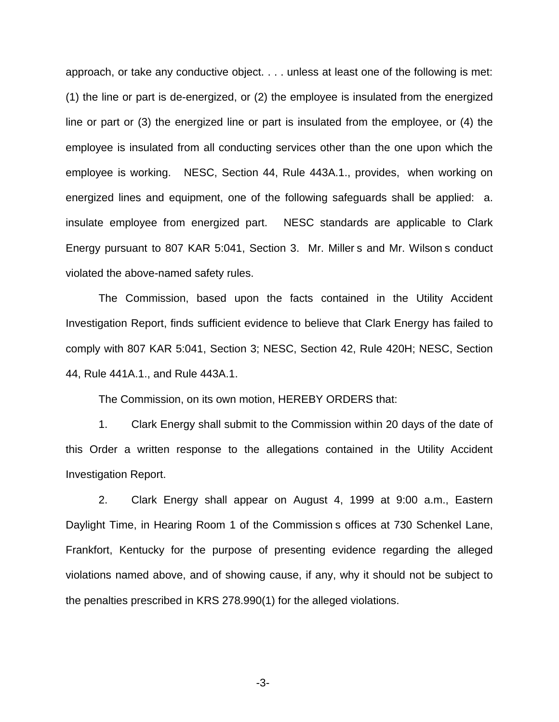approach, or take any conductive object. . . . unless at least one of the following is met: (1) the line or part is de-energized, or (2) the employee is insulated from the energized line or part or (3) the energized line or part is insulated from the employee, or (4) the employee is insulated from all conducting services other than the one upon which the employee is working. NESC, Section 44, Rule 443A.1., provides, when working on energized lines and equipment, one of the following safeguards shall be applied: a. insulate employee from energized part. NESC standards are applicable to Clark Energy pursuant to 807 KAR 5:041, Section 3. Mr. Miller s and Mr. Wilson s conduct violated the above-named safety rules.

The Commission, based upon the facts contained in the Utility Accident Investigation Report, finds sufficient evidence to believe that Clark Energy has failed to comply with 807 KAR 5:041, Section 3; NESC, Section 42, Rule 420H; NESC, Section 44, Rule 441A.1., and Rule 443A.1.

The Commission, on its own motion, HEREBY ORDERS that:

1. Clark Energy shall submit to the Commission within 20 days of the date of this Order a written response to the allegations contained in the Utility Accident Investigation Report.

2. Clark Energy shall appear on August 4, 1999 at 9:00 a.m., Eastern Daylight Time, in Hearing Room 1 of the Commission s offices at 730 Schenkel Lane, Frankfort, Kentucky for the purpose of presenting evidence regarding the alleged violations named above, and of showing cause, if any, why it should not be subject to the penalties prescribed in KRS 278.990(1) for the alleged violations.

-3-